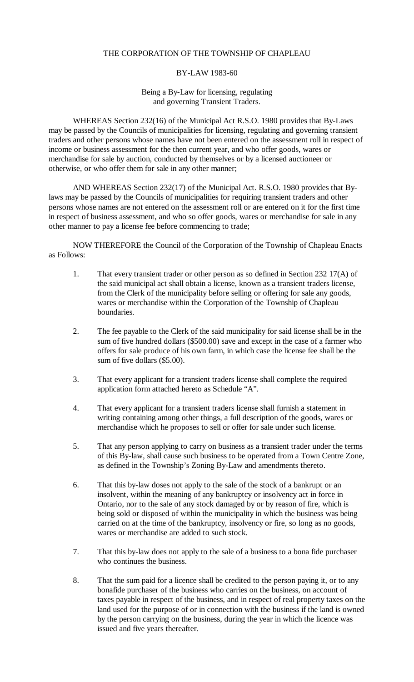# THE CORPORATION OF THE TOWNSHIP OF CHAPLEAU

### BY-LAW 1983-60

#### Being a By-Law for licensing, regulating and governing Transient Traders.

WHEREAS Section 232(16) of the Municipal Act R.S.O. 1980 provides that By-Laws may be passed by the Councils of municipalities for licensing, regulating and governing transient traders and other persons whose names have not been entered on the assessment roll in respect of income or business assessment for the then current year, and who offer goods, wares or merchandise for sale by auction, conducted by themselves or by a licensed auctioneer or otherwise, or who offer them for sale in any other manner;

AND WHEREAS Section 232(17) of the Municipal Act. R.S.O. 1980 provides that Bylaws may be passed by the Councils of municipalities for requiring transient traders and other persons whose names are not entered on the assessment roll or are entered on it for the first time in respect of business assessment, and who so offer goods, wares or merchandise for sale in any other manner to pay a license fee before commencing to trade;

NOW THEREFORE the Council of the Corporation of the Township of Chapleau Enacts as Follows:

- 1. That every transient trader or other person as so defined in Section 232 17(A) of the said municipal act shall obtain a license, known as a transient traders license, from the Clerk of the municipality before selling or offering for sale any goods, wares or merchandise within the Corporation of the Township of Chapleau boundaries.
- 2. The fee payable to the Clerk of the said municipality for said license shall be in the sum of five hundred dollars (\$500.00) save and except in the case of a farmer who offers for sale produce of his own farm, in which case the license fee shall be the sum of five dollars (\$5.00).
- 3. That every applicant for a transient traders license shall complete the required application form attached hereto as Schedule "A".
- 4. That every applicant for a transient traders license shall furnish a statement in writing containing among other things, a full description of the goods, wares or merchandise which he proposes to sell or offer for sale under such license.
- 5. That any person applying to carry on business as a transient trader under the terms of this By-law, shall cause such business to be operated from a Town Centre Zone, as defined in the Township's Zoning By-Law and amendments thereto.
- 6. That this by-law doses not apply to the sale of the stock of a bankrupt or an insolvent, within the meaning of any bankruptcy or insolvency act in force in Ontario, nor to the sale of any stock damaged by or by reason of fire, which is being sold or disposed of within the municipality in which the business was being carried on at the time of the bankruptcy, insolvency or fire, so long as no goods, wares or merchandise are added to such stock.
- 7. That this by-law does not apply to the sale of a business to a bona fide purchaser who continues the business.
- 8. That the sum paid for a licence shall be credited to the person paying it, or to any bonafide purchaser of the business who carries on the business, on account of taxes payable in respect of the business, and in respect of real property taxes on the land used for the purpose of or in connection with the business if the land is owned by the person carrying on the business, during the year in which the licence was issued and five years thereafter.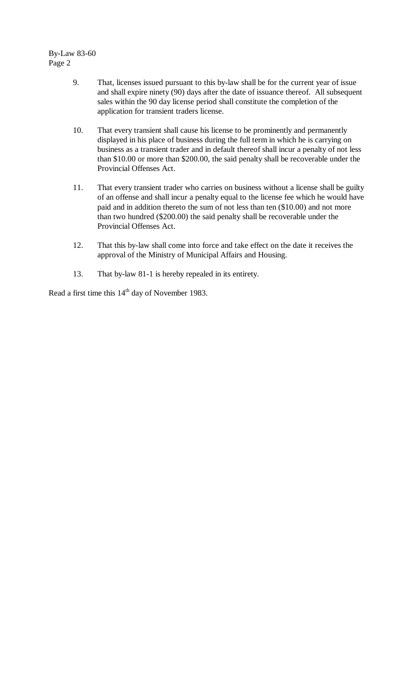By-Law 83-60 Page 2

- 9. That, licenses issued pursuant to this by-law shall be for the current year of issue and shall expire ninety (90) days after the date of issuance thereof. All subsequent sales within the 90 day license period shall constitute the completion of the application for transient traders license.
- 10. That every transient shall cause his license to be prominently and permanently displayed in his place of business during the full term in which he is carrying on business as a transient trader and in default thereof shall incur a penalty of not less than \$10.00 or more than \$200.00, the said penalty shall be recoverable under the Provincial Offenses Act.
- 11. That every transient trader who carries on business without a license shall be guilty of an offense and shall incur a penalty equal to the license fee which he would have paid and in addition thereto the sum of not less than ten (\$10.00) and not more than two hundred (\$200.00) the said penalty shall be recoverable under the Provincial Offenses Act.
- 12. That this by-law shall come into force and take effect on the date it receives the approval of the Ministry of Municipal Affairs and Housing.
- 13. That by-law 81-1 is hereby repealed in its entirety.

Read a first time this 14<sup>th</sup> day of November 1983.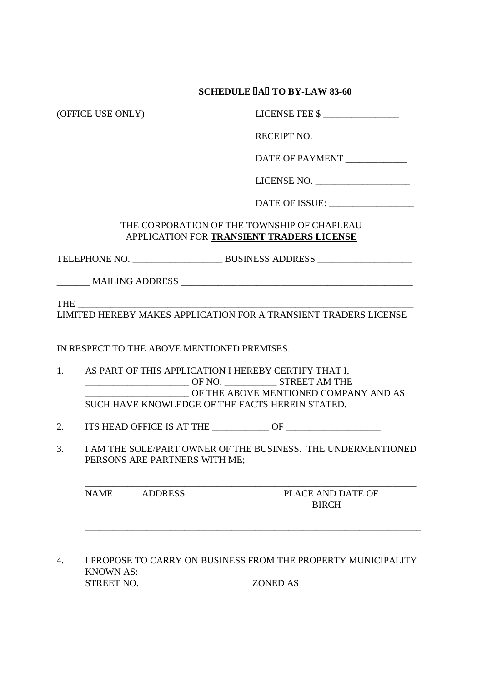#### **SCHEDULE A TO BY-LAW 83-60**

(OFFICE USE ONLY) LICENSE FEE \$ \_\_\_\_\_\_\_\_\_\_\_\_\_\_\_\_

| <b>RECEIPT NO.</b> |  |
|--------------------|--|
|                    |  |

DATE OF PAYMENT

LICENSE NO. \_\_\_\_\_\_\_\_\_\_\_\_\_\_\_\_\_\_\_\_

DATE OF ISSUE: \_\_\_\_\_\_\_\_\_\_\_\_\_\_\_\_\_\_

## THE CORPORATION OF THE TOWNSHIP OF CHAPLEAU APPLICATION FOR **TRANSIENT TRADERS LICENSE**

TELEPHONE NO. \_\_\_\_\_\_\_\_\_\_\_\_\_\_\_\_\_\_\_ BUSINESS ADDRESS \_\_\_\_\_\_\_\_\_\_\_\_\_\_\_\_\_\_\_\_

\_\_\_\_\_\_\_ MAILING ADDRESS \_\_\_\_\_\_\_\_\_\_\_\_\_\_\_\_\_\_\_\_\_\_\_\_\_\_\_\_\_\_\_\_\_\_\_\_\_\_\_\_\_\_\_\_\_\_\_\_\_

THE \_\_\_\_\_\_\_\_\_\_\_\_\_\_\_\_\_\_\_\_\_\_\_\_\_\_\_\_\_\_\_\_\_\_\_\_\_\_\_\_\_\_\_\_\_\_\_\_\_\_\_\_\_\_\_\_\_\_\_\_\_\_\_\_\_\_\_\_\_\_\_

LIMITED HEREBY MAKES APPLICATION FOR A TRANSIENT TRADERS LICENSE

\_\_\_\_\_\_\_\_\_\_\_\_\_\_\_\_\_\_\_\_\_\_\_\_\_\_\_\_\_\_\_\_\_\_\_\_\_\_\_\_\_\_\_\_\_\_\_\_\_\_\_\_\_\_\_\_\_\_\_\_\_\_\_\_\_\_\_\_\_\_\_\_\_\_\_\_

IN RESPECT TO THE ABOVE MENTIONED PREMISES.

- 1. AS PART OF THIS APPLICATION I HEREBY CERTIFY THAT I, \_\_\_\_\_\_\_\_\_\_\_\_\_\_\_\_\_\_\_\_\_\_ OF NO. \_\_\_\_\_\_\_\_\_\_\_ STREET AM THE OF THE ABOVE MENTIONED COMPANY AND AS SUCH HAVE KNOWLEDGE OF THE FACTS HEREIN STATED.
- 2. ITS HEAD OFFICE IS AT THE \_\_\_\_\_\_\_\_\_\_\_\_ OF \_\_\_\_\_\_\_\_\_\_\_\_\_\_\_\_\_\_\_\_
- 3. I AM THE SOLE/PART OWNER OF THE BUSINESS. THE UNDERMENTIONED PERSONS ARE PARTNERS WITH ME;

\_\_\_\_\_\_\_\_\_\_\_\_\_\_\_\_\_\_\_\_\_\_\_\_\_\_\_\_\_\_\_\_\_\_\_\_\_\_\_\_\_\_\_\_\_\_\_\_\_\_\_\_\_\_\_\_\_\_\_\_\_\_\_\_\_\_\_\_\_\_

\_\_\_\_\_\_\_\_\_\_\_\_\_\_\_\_\_\_\_\_\_\_\_\_\_\_\_\_\_\_\_\_\_\_\_\_\_\_\_\_\_\_\_\_\_\_\_\_\_\_\_\_\_\_\_\_\_\_\_\_\_\_\_\_\_\_\_\_\_\_\_ \_\_\_\_\_\_\_\_\_\_\_\_\_\_\_\_\_\_\_\_\_\_\_\_\_\_\_\_\_\_\_\_\_\_\_\_\_\_\_\_\_\_\_\_\_\_\_\_\_\_\_\_\_\_\_\_\_\_\_\_\_\_\_\_\_\_\_\_\_\_\_

NAME ADDRESS PLACE AND DATE OF

BIRCH

4. I PROPOSE TO CARRY ON BUSINESS FROM THE PROPERTY MUNICIPALITY KNOWN AS: STREET NO. \_\_\_\_\_\_\_\_\_\_\_\_\_\_\_\_\_\_\_\_\_\_\_ ZONED AS \_\_\_\_\_\_\_\_\_\_\_\_\_\_\_\_\_\_\_\_\_\_\_